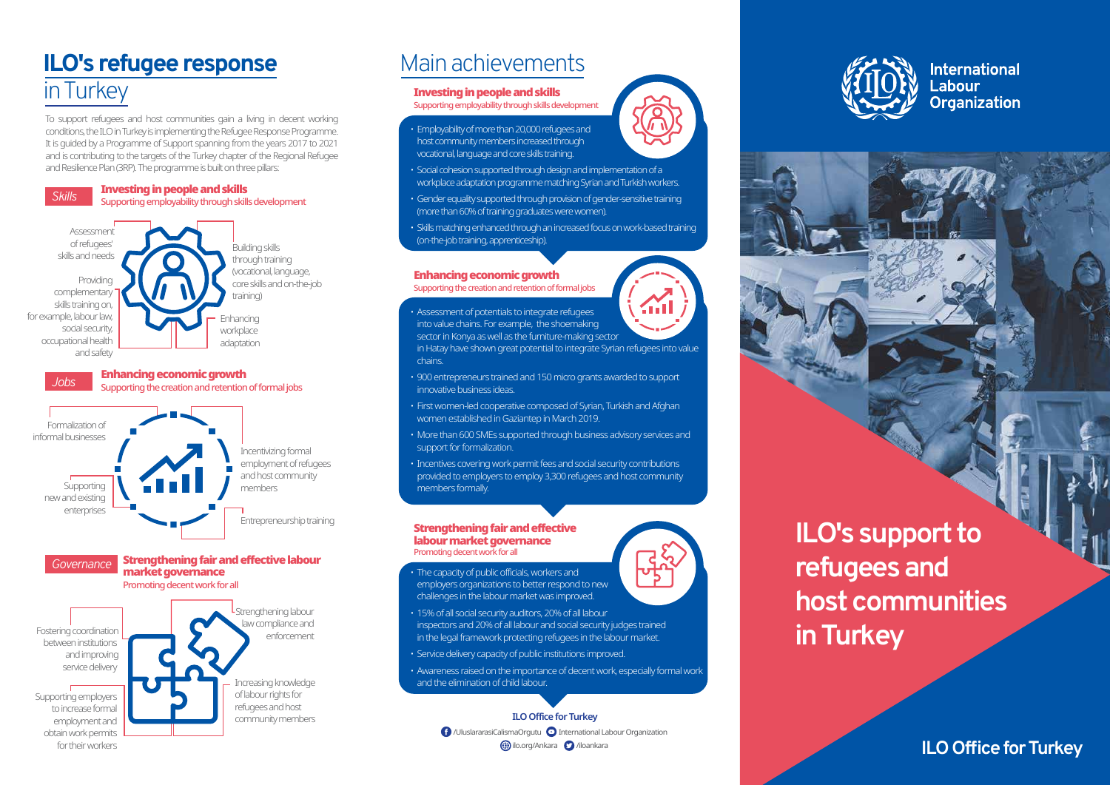**ILO Office for Turkey**

To support refugees and host communities gain a living in decent working conditions, the ILO in Turkey is implementing the Refugee Response Programme. It is guided by a Programme of Support spanning from the years 2017 to 2021 and is contributing to the targets of the Turkey chapter of the Regional Refugee and Resilience Plan (3RP). The programme is built on three pillars:

### .<br>Building skills through training (vocational, language, core skills and on-the-job

# **ILO's refugee response** in Turkey

# Main achievements

#### *Jobs* Enhancing economic growth Supporting the creation and retention of formal jobs



training)



### *Governance* Strengthening fair and effective labour market governance



### Investing in people and skills

Supporting employability through skills development

/UluslararasiCalismaOrgutu International Labour Organization  $\bigoplus$ ilo.org/Ankara  $\bigodot$ /iloankara







**International** Labour Organization

- Employability of more than 20,000 refugees and host community members increased through vocational, language and core skills training.
- Social cohesion supported through design and implementation of a workplace adaptation programme matching Syrian and Turkish workers.
- Gender equality supported through provision of gender-sensitive training (more than 60% of training graduates were women).
- Skills matching enhanced through an increased focus on work-based training (on-the-job training, apprenticeship).

### Enhancing economic growth

Supporting the creation and retention of formal jobs

• Assessment of potentials to integrate refugees into value chains. For example, the shoemaking sector in Konya as well as the furniture-making sector in Hatay have shown great potential to integrate Syrian refugees into value

chains.

Fili

- 900 entrepreneurs trained and 150 micro grants awarded to support innovative business ideas.
- First women-led cooperative composed of Syrian, Turkish and Afghan women established in Gaziantep in March 2019.
- More than 600 SMEs supported through business advisory services and support for formalization.
- Incentives covering work permit fees and social security contributions provided to employers to employ 3,300 refugees and host community members formally.

#### Strengthening fair and effective labour market governance Promoting decent work for all

- The capacity of public officials, workers and employers organizations to better respond to new challenges in the labour market was improved.
- 15% of all social security auditors, 20% of all labour inspectors and 20% of all labour and social security judges trained in the legal framework protecting refugees in the labour market.
- Service delivery capacity of public institutions improved.
- Awareness raised on the importance of decent work, especially formal work and the elimination of child labour.

**ILO's support to refugees and host communities in Turkey** 

## **ILO Office for Turkey**